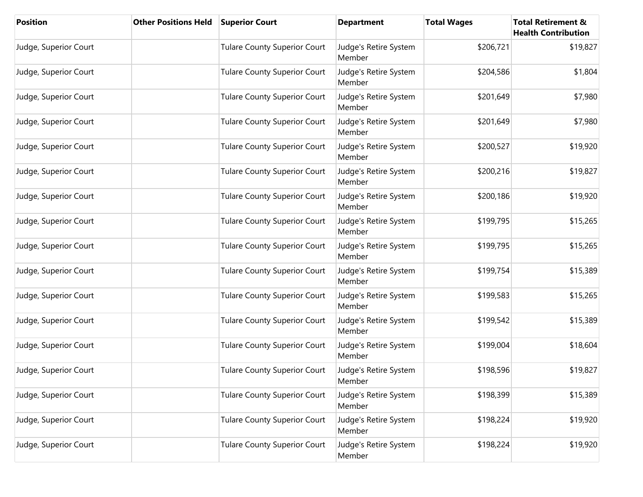| Position              | <b>Other Positions Held</b> | <b>Superior Court</b>               | <b>Department</b>               | <b>Total Wages</b> | <b>Total Retirement &amp;</b><br><b>Health Contribution</b> |
|-----------------------|-----------------------------|-------------------------------------|---------------------------------|--------------------|-------------------------------------------------------------|
| Judge, Superior Court |                             | <b>Tulare County Superior Court</b> | Judge's Retire System<br>Member | \$206,721          | \$19,827                                                    |
| Judge, Superior Court |                             | <b>Tulare County Superior Court</b> | Judge's Retire System<br>Member | \$204,586          | \$1,804                                                     |
| Judge, Superior Court |                             | <b>Tulare County Superior Court</b> | Judge's Retire System<br>Member | \$201,649          | \$7,980                                                     |
| Judge, Superior Court |                             | <b>Tulare County Superior Court</b> | Judge's Retire System<br>Member | \$201,649          | \$7,980                                                     |
| Judge, Superior Court |                             | <b>Tulare County Superior Court</b> | Judge's Retire System<br>Member | \$200,527          | \$19,920                                                    |
| Judge, Superior Court |                             | <b>Tulare County Superior Court</b> | Judge's Retire System<br>Member | \$200,216          | \$19,827                                                    |
| Judge, Superior Court |                             | <b>Tulare County Superior Court</b> | Judge's Retire System<br>Member | \$200,186          | \$19,920                                                    |
| Judge, Superior Court |                             | <b>Tulare County Superior Court</b> | Judge's Retire System<br>Member | \$199,795          | \$15,265                                                    |
| Judge, Superior Court |                             | <b>Tulare County Superior Court</b> | Judge's Retire System<br>Member | \$199,795          | \$15,265                                                    |
| Judge, Superior Court |                             | <b>Tulare County Superior Court</b> | Judge's Retire System<br>Member | \$199,754          | \$15,389                                                    |
| Judge, Superior Court |                             | <b>Tulare County Superior Court</b> | Judge's Retire System<br>Member | \$199,583          | \$15,265                                                    |
| Judge, Superior Court |                             | <b>Tulare County Superior Court</b> | Judge's Retire System<br>Member | \$199,542          | \$15,389                                                    |
| Judge, Superior Court |                             | <b>Tulare County Superior Court</b> | Judge's Retire System<br>Member | \$199,004          | \$18,604                                                    |
| Judge, Superior Court |                             | <b>Tulare County Superior Court</b> | Judge's Retire System<br>Member | \$198,596          | \$19,827                                                    |
| Judge, Superior Court |                             | <b>Tulare County Superior Court</b> | Judge's Retire System<br>Member | \$198,399          | \$15,389                                                    |
| Judge, Superior Court |                             | <b>Tulare County Superior Court</b> | Judge's Retire System<br>Member | \$198,224          | \$19,920                                                    |
| Judge, Superior Court |                             | <b>Tulare County Superior Court</b> | Judge's Retire System<br>Member | \$198,224          | \$19,920                                                    |